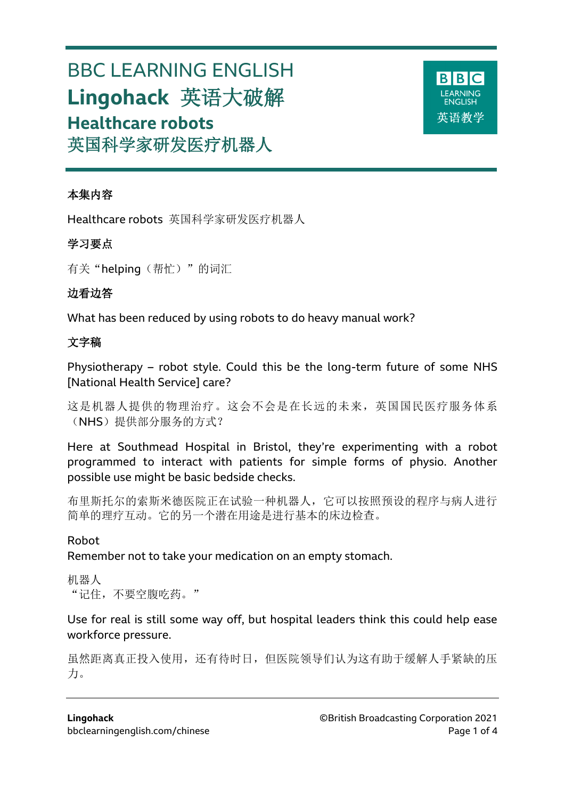# BBC LEARNING ENGLISH **Lingohack** 英语大破解 **Healthcare robots**



英国科学家研发医疗机器人

## 本集内容

Healthcare robots 英国科学家研发医疗机器人

# 学习要点

有关"helping(帮忙)"的词汇

## 边看边答

What has been reduced by using robots to do heavy manual work?

# 文字稿

Physiotherapy – robot style. Could this be the long-term future of some NHS [National Health Service] care?

这是机器人提供的物理治疗。这会不会是在长远的未来,英国国民医疗服务体系 (NHS)提供部分服务的方式?

Here at Southmead Hospital in Bristol, they're experimenting with a robot programmed to interact with patients for simple forms of physio. Another possible use might be basic bedside checks.

布里斯托尔的索斯米德医院正在试验一种机器人,它可以按照预设的程序与病人进行 简单的理疗互动。它的另一个潜在用途是进行基本的床边检查。

## Robot

Remember not to take your medication on an empty stomach.

机器人 "记住,不要空腹吃药。"

Use for real is still some way off, but hospital leaders think this could help ease workforce pressure.

虽然距离真正投入使用,还有待时日,但医院领导们认为这有助于缓解人手紧缺的压 力。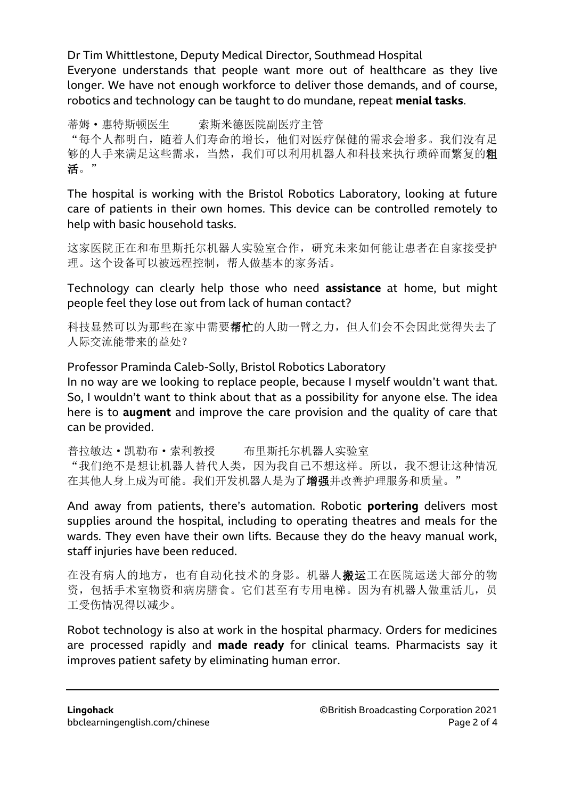Dr Tim Whittlestone, Deputy Medical Director, Southmead Hospital Everyone understands that people want more out of healthcare as they live longer. We have not enough workforce to deliver those demands, and of course, robotics and technology can be taught to do mundane, repeat **menial tasks**.

蒂姆·惠特斯顿医生 索斯米德医院副医疗主管 "每个人都明白,随着人们寿命的增长,他们对医疗保健的需求会增多。我们没有足 够的人手来满足这些需求,当然,我们可以利用机器人和科技来执行琐碎而繁复的粗 活。"

The hospital is working with the Bristol Robotics Laboratory, looking at future care of patients in their own homes. This device can be controlled remotely to help with basic household tasks.

这家医院正在和布里斯托尔机器人实验室合作,研究未来如何能让患者在自家接受护 理。这个设备可以被远程控制,帮人做基本的家务活。

Technology can clearly help those who need **assistance** at home, but might people feel they lose out from lack of human contact?

科技显然可以为那些在家中需要帮忙的人助一臂之力,但人们会不会因此觉得失去了 人际交流能带来的益处?

Professor Praminda Caleb-Solly, Bristol Robotics Laboratory

In no way are we looking to replace people, because I myself wouldn't want that. So, I wouldn't want to think about that as a possibility for anyone else. The idea here is to **augment** and improve the care provision and the quality of care that can be provided.

普拉敏达·凯勒布·索利教授 布里斯托尔机器人实验室 "我们绝不是想让机器人替代人类,因为我自己不想这样。所以,我不想让这种情况 在其他人身上成为可能。我们开发机器人是为了增强并改善护理服务和质量。"

And away from patients, there's automation. Robotic **portering** delivers most supplies around the hospital, including to operating theatres and meals for the wards. They even have their own lifts. Because they do the heavy manual work, staff injuries have been reduced.

在没有病人的地方,也有自动化技术的身影。机器人搬运工在医院运送大部分的物 资,包括手术室物资和病房膳食。它们甚至有专用电梯。因为有机器人做重活儿,员 工受伤情况得以减少。

Robot technology is also at work in the hospital pharmacy. Orders for medicines are processed rapidly and **made ready** for clinical teams. Pharmacists say it improves patient safety by eliminating human error.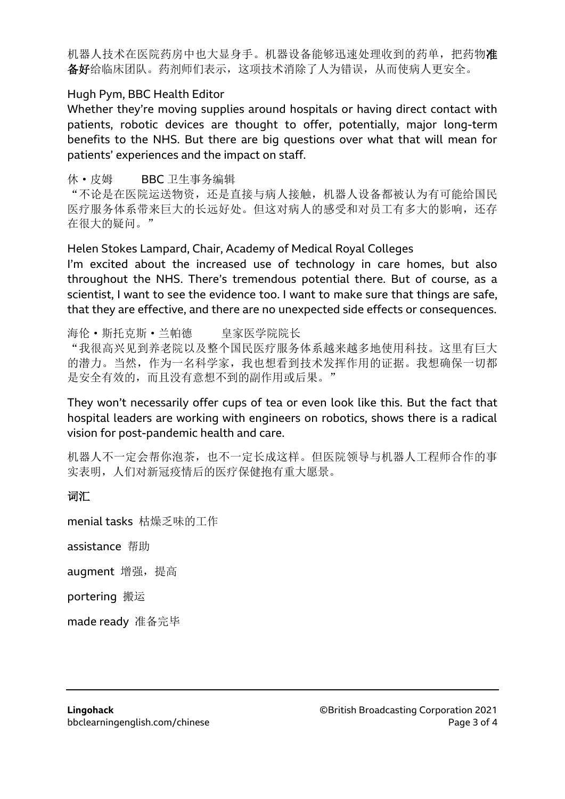机器人技术在医院药房中也大显身手。机器设备能够迅速处理收到的药单,把药物准 备好给临床团队。药剂师们表示,这项技术消除了人为错误,从而使病人更安全。

#### Hugh Pym, BBC Health Editor

Whether they're moving supplies around hospitals or having direct contact with patients, robotic devices are thought to offer, potentially, major long-term benefits to the NHS. But there are big questions over what that will mean for patients' experiences and the impact on staff.

#### 休·皮姆 BBC 卫生事务编辑

"不论是在医院运送物资,还是直接与病人接触,机器人设备都被认为有可能给国民 医疗服务体系带来巨大的长远好处。但这对病人的感受和对员工有多大的影响,还存 在很大的疑问。"

Helen Stokes Lampard, Chair, Academy of Medical Royal Colleges

I'm excited about the increased use of technology in care homes, but also throughout the NHS. There's tremendous potential there. But of course, as a scientist, I want to see the evidence too. I want to make sure that things are safe, that they are effective, and there are no unexpected side effects or consequences.

海伦·斯托克斯·兰帕德 皇家医学院院长 "我很高兴见到养老院以及整个国民医疗服务体系越来越多地使用科技。这里有巨大 的潜力。当然,作为一名科学家,我也想看到技术发挥作用的证据。我想确保一切都 是安全有效的,而且没有意想不到的副作用或后果。"

They won't necessarily offer cups of tea or even look like this. But the fact that hospital leaders are working with engineers on robotics, shows there is a radical vision for post-pandemic health and care.

机器人不一定会帮你泡茶,也不一定长成这样。但医院领导与机器人工程师合作的事 实表明,人们对新冠疫情后的医疗保健抱有重大愿景。

## 词汇

menial tasks 枯燥乏味的工作

assistance 帮助

augment 增强, 提高

portering 搬运

made ready 准备完毕